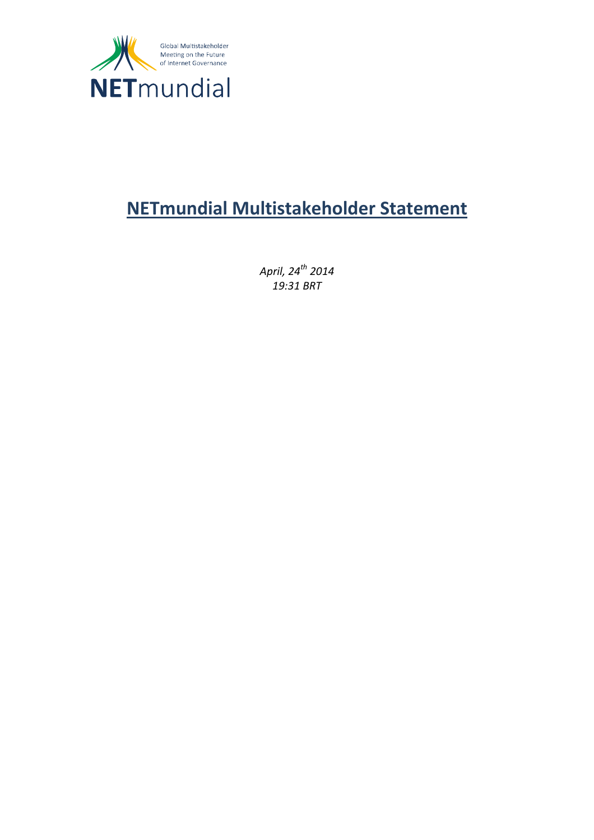

# **NETmundial Multistakeholder Statement**

*April, 24th 2014 19:31 BRT*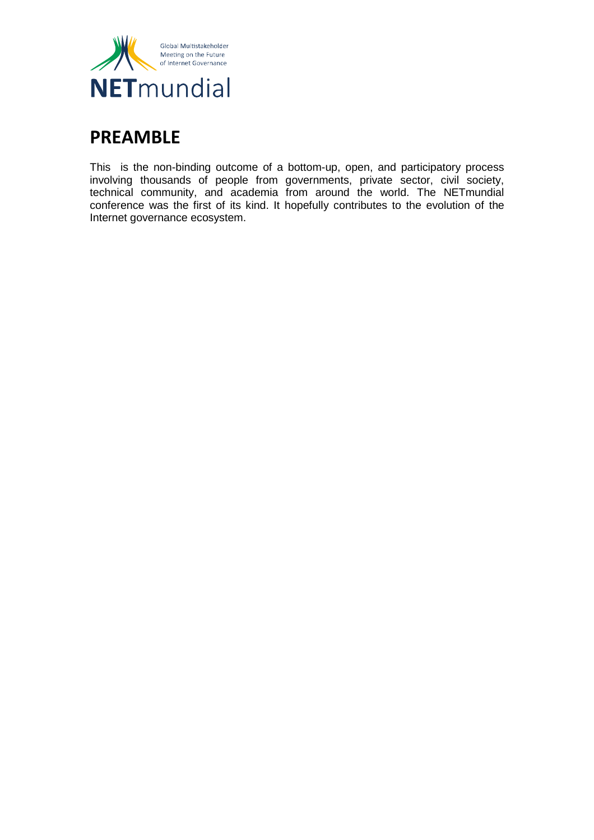

## **[PREAMBLE](https://document.netmundial.br/introduction/)**

This is the non-binding outcome of a bottom-up, open, and participatory process involving thousands of people from governments, private sector, civil society, technical community, and academia from around the world. The NETmundial conference was the first of its kind. It hopefully contributes to the evolution of the Internet governance ecosystem.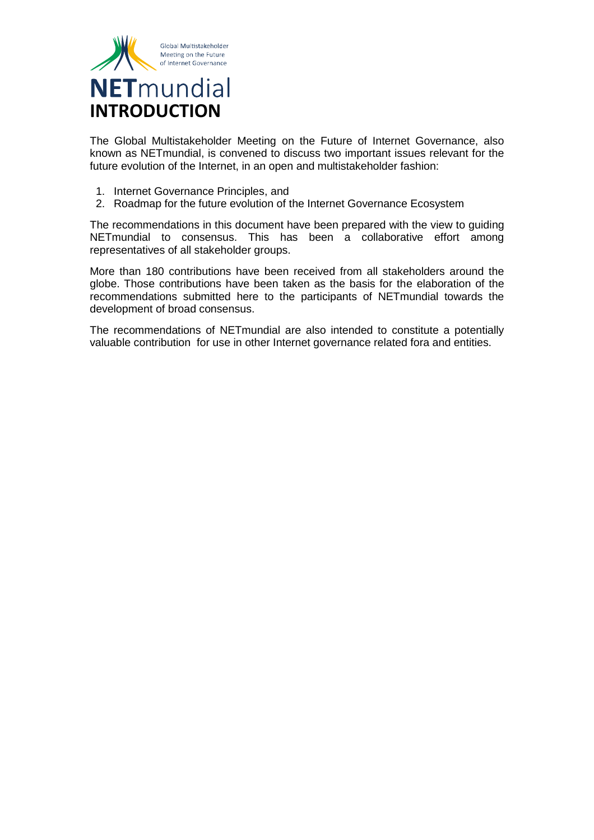

The Global Multistakeholder Meeting on the Future of Internet Governance, also known as NETmundial, is convened to discuss two important issues relevant for the future evolution of the Internet, in an open and multistakeholder fashion:

- 1. [Internet Governance Principles,](https://document.netmundial.br/1-internet-governance-principles/) and
- 2. [Roadmap for the future evolution of the Internet Governance Ecosystem](https://document.netmundial.br/2-roadmap-for-the-future-evolution-of-the-internet-governance/)

The recommendations in this document have been prepared with the view to guiding NETmundial to consensus. This has been a collaborative effort among representatives of all stakeholder groups.

More than 180 contributions have been received from all stakeholders around the globe. Those contributions have been taken as the basis for the elaboration of the recommendations submitted here to the participants of NETmundial towards the development of broad consensus.

The recommendations of NETmundial are also intended to constitute a potentially valuable contribution for use in other Internet governance related fora and entities.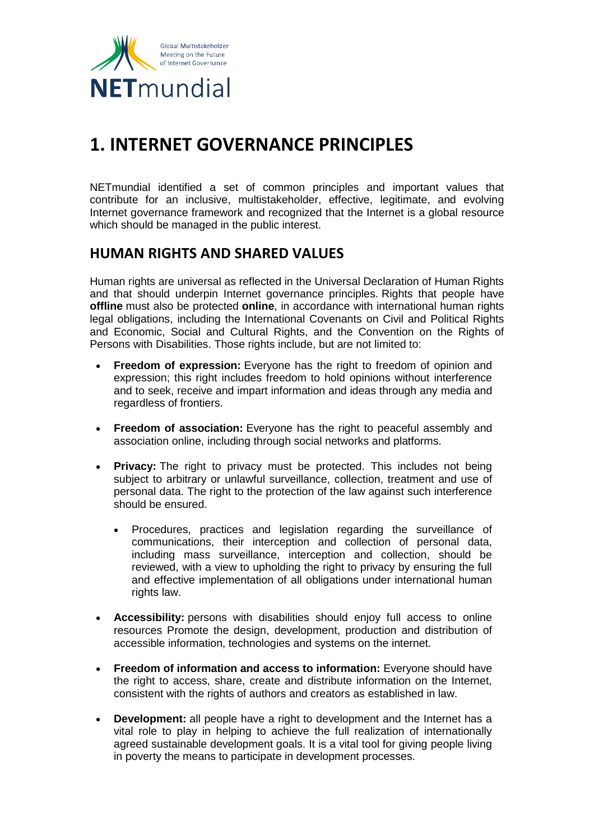

## **[1. INTERNET GOVERNANCE PRINCIPLES](https://document.netmundial.br/1-internet-governance-principles/)**

NETmundial identified a set of common principles and important values that contribute for an inclusive, multistakeholder, effective, legitimate, and evolving Internet governance framework and recognized that the Internet is a global resource which should be managed in the public interest.

## **HUMAN RIGHTS AND SHARED VALUES**

Human rights are universal as reflected in the Universal Declaration of Human Rights and that should underpin Internet governance principles. Rights that people have **offline** must also be protected **online**, in accordance with international human rights legal obligations, including the International Covenants on Civil and Political Rights and Economic, Social and Cultural Rights, and the Convention on the Rights of Persons with Disabilities. Those rights include, but are not limited to:

- **Freedom of expression:** Everyone has the right to freedom of opinion and expression; this right includes freedom to hold opinions without interference and to seek, receive and impart information and ideas through any media and regardless of frontiers.
- **Freedom of association:** Everyone has the right to peaceful assembly and association online, including through social networks and platforms.
- **Privacy:** The right to privacy must be protected. This includes not being subject to arbitrary or unlawful surveillance, collection, treatment and use of personal data. The right to the protection of the law against such interference should be ensured.
	- Procedures, practices and legislation regarding the surveillance of communications, their interception and collection of personal data, including mass surveillance, interception and collection, should be reviewed, with a view to upholding the right to privacy by ensuring the full and effective implementation of all obligations under international human rights law.
- **Accessibility:** persons with disabilities should enjoy full access to online resources Promote the design, development, production and distribution of accessible information, technologies and systems on the internet.
- **Freedom of information and access to information:** Everyone should have the right to access, share, create and distribute information on the Internet, consistent with the rights of authors and creators as established in law.
- **Development:** all people have a right to development and the Internet has a vital role to play in helping to achieve the full realization of internationally agreed sustainable development goals. It is a vital tool for giving people living in poverty the means to participate in development processes.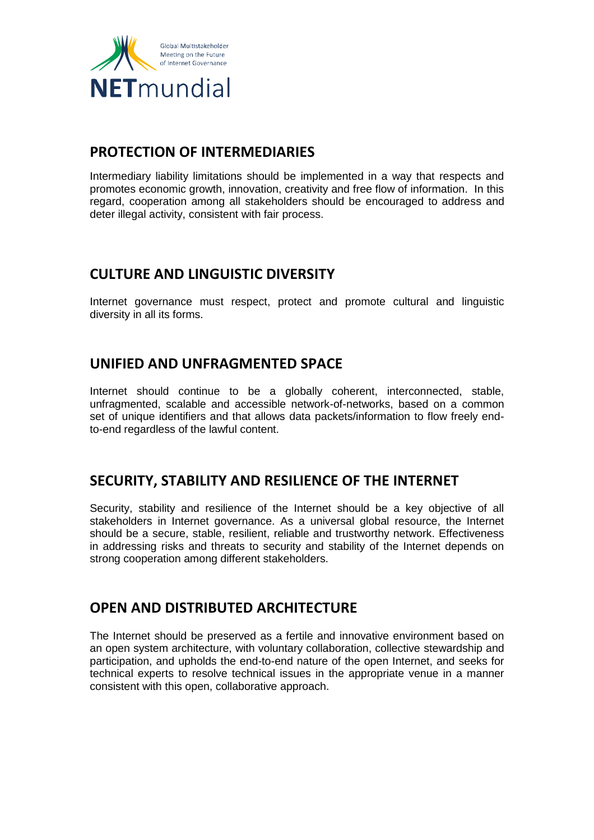

## **PROTECTION OF INTERMEDIARIES**

Intermediary liability limitations should be implemented in a way that respects and promotes economic growth, innovation, creativity and free flow of information. In this regard, cooperation among all stakeholders should be encouraged to address and deter illegal activity, consistent with fair process.

## **CULTURE AND LINGUISTIC DIVERSITY**

Internet governance must respect, protect and promote cultural and linguistic diversity in all its forms.

### **UNIFIED AND UNFRAGMENTED SPACE**

Internet should continue to be a globally coherent, interconnected, stable, unfragmented, scalable and accessible network-of-networks, based on a common set of unique identifiers and that allows data packets/information to flow freely endto-end regardless of the lawful content.

## **SECURITY, STABILITY AND RESILIENCE OF THE INTERNET**

Security, stability and resilience of the Internet should be a key objective of all stakeholders in Internet governance. As a universal global resource, the Internet should be a secure, stable, resilient, reliable and trustworthy network. Effectiveness in addressing risks and threats to security and stability of the Internet depends on strong cooperation among different stakeholders.

## **OPEN AND DISTRIBUTED ARCHITECTURE**

The Internet should be preserved as a fertile and innovative environment based on an open system architecture, with voluntary collaboration, collective stewardship and participation, and upholds the end-to-end nature of the open Internet, and seeks for technical experts to resolve technical issues in the appropriate venue in a manner consistent with this open, collaborative approach.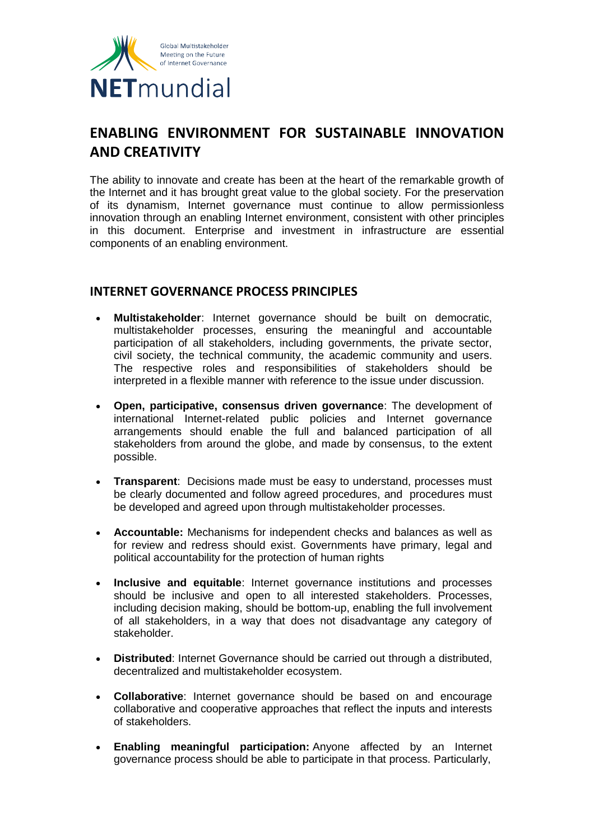

## **ENABLING ENVIRONMENT FOR SUSTAINABLE INNOVATION AND CREATIVITY**

The ability to innovate and create has been at the heart of the remarkable growth of the Internet and it has brought great value to the global society. For the preservation of its dynamism, Internet governance must continue to allow permissionless innovation through an enabling Internet environment, consistent with other principles in this document. Enterprise and investment in infrastructure are essential components of an enabling environment.

#### **INTERNET GOVERNANCE PROCESS PRINCIPLES**

- **Multistakeholder**: Internet governance should be built on democratic, multistakeholder processes, ensuring the meaningful and accountable participation of all stakeholders, including governments, the private sector, civil society, the technical community, the academic community and users. The respective roles and responsibilities of stakeholders should be interpreted in a flexible manner with reference to the issue under discussion.
- **Open, participative, consensus driven governance**: The development of international Internet-related public policies and Internet governance arrangements should enable the full and balanced participation of all stakeholders from around the globe, and made by consensus, to the extent possible.
- **Transparent**: Decisions made must be easy to understand, processes must be clearly documented and follow agreed procedures, and procedures must be developed and agreed upon through multistakeholder processes.
- **Accountable:** Mechanisms for independent checks and balances as well as for review and redress should exist. Governments have primary, legal and political accountability for the protection of human rights
- **Inclusive and equitable**: Internet governance institutions and processes should be inclusive and open to all interested stakeholders. Processes, including decision making, should be bottom-up, enabling the full involvement of all stakeholders, in a way that does not disadvantage any category of stakeholder.
- **Distributed**: Internet Governance should be carried out through a distributed, decentralized and multistakeholder ecosystem.
- **Collaborative**: Internet governance should be based on and encourage collaborative and cooperative approaches that reflect the inputs and interests of stakeholders.
- **Enabling meaningful participation:** Anyone affected by an Internet governance process should be able to participate in that process. Particularly,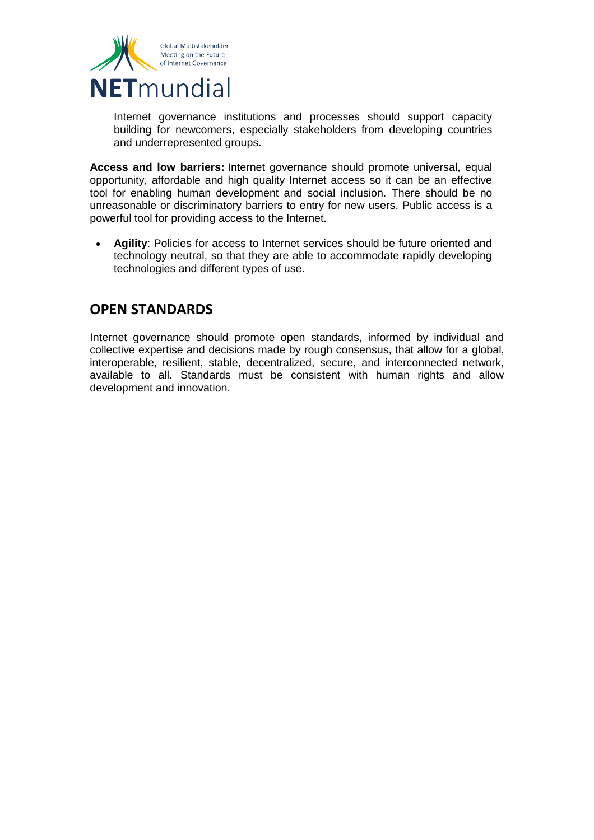

Internet governance institutions and processes should support capacity building for newcomers, especially stakeholders from developing countries and underrepresented groups.

**Access and low barriers:** Internet governance should promote universal, equal opportunity, affordable and high quality Internet access so it can be an effective tool for enabling human development and social inclusion. There should be no unreasonable or discriminatory barriers to entry for new users. Public access is a powerful tool for providing access to the Internet.

 **Agility**: Policies for access to Internet services should be future oriented and technology neutral, so that they are able to accommodate rapidly developing technologies and different types of use.

## **OPEN STANDARDS**

Internet governance should promote open standards, informed by individual and collective expertise and decisions made by rough consensus, that allow for a global, interoperable, resilient, stable, decentralized, secure, and interconnected network, available to all. Standards must be consistent with human rights and allow development and innovation.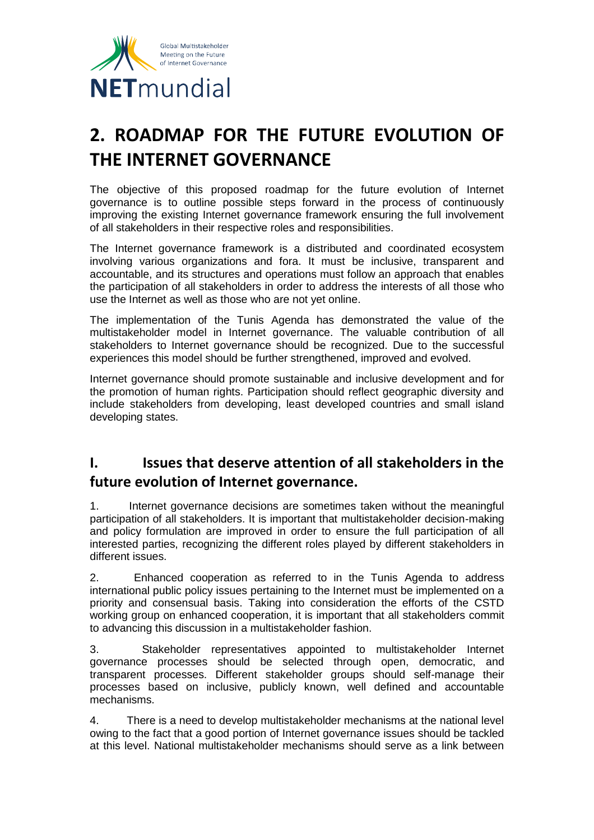

# **[2. ROADMAP FOR THE FUTURE EVOLUTION OF](https://document.netmundial.br/2-roadmap-for-the-future-evolution-of-the-internet-governance/)  [THE INTERNET GOVERNANCE](https://document.netmundial.br/2-roadmap-for-the-future-evolution-of-the-internet-governance/)**

The objective of this proposed roadmap for the future evolution of Internet governance is to outline possible steps forward in the process of continuously improving the existing Internet governance framework ensuring the full involvement of all stakeholders in their respective roles and responsibilities.

The Internet governance framework is a distributed and coordinated ecosystem involving various organizations and fora. It must be inclusive, transparent and accountable, and its structures and operations must follow an approach that enables the participation of all stakeholders in order to address the interests of all those who use the Internet as well as those who are not yet online.

The implementation of the Tunis Agenda has demonstrated the value of the multistakeholder model in Internet governance. The valuable contribution of all stakeholders to Internet governance should be recognized. Due to the successful experiences this model should be further strengthened, improved and evolved.

Internet governance should promote sustainable and inclusive development and for the promotion of human rights. Participation should reflect geographic diversity and include stakeholders from developing, least developed countries and small island developing states.

## **I. Issues that deserve attention of all stakeholders in the future evolution of Internet governance.**

1. Internet governance decisions are sometimes taken without the meaningful participation of all stakeholders. It is important that multistakeholder decision-making and policy formulation are improved in order to ensure the full participation of all interested parties, recognizing the different roles played by different stakeholders in different issues.

2. Enhanced cooperation as referred to in the Tunis Agenda to address international public policy issues pertaining to the Internet must be implemented on a priority and consensual basis. Taking into consideration the efforts of the CSTD working group on enhanced cooperation, it is important that all stakeholders commit to advancing this discussion in a multistakeholder fashion.

3. Stakeholder representatives appointed to multistakeholder Internet governance processes should be selected through open, democratic, and transparent processes. Different stakeholder groups should self-manage their processes based on inclusive, publicly known, well defined and accountable mechanisms.

4. There is a need to develop multistakeholder mechanisms at the national level owing to the fact that a good portion of Internet governance issues should be tackled at this level. National multistakeholder mechanisms should serve as a link between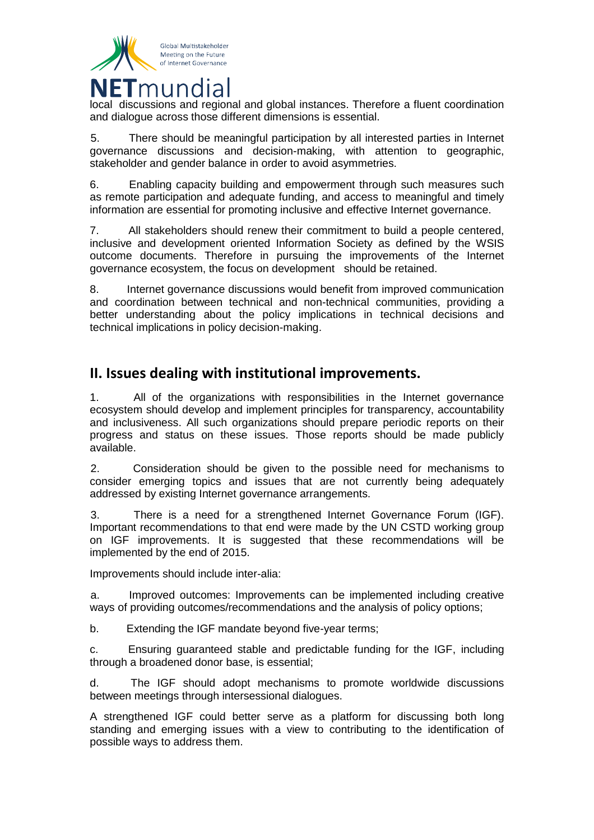

local discussions and regional and global instances. Therefore a fluent coordination and dialogue across those different dimensions is essential.

5. There should be meaningful participation by all interested parties in Internet governance discussions and decision-making, with attention to geographic, stakeholder and gender balance in order to avoid asymmetries.

6. Enabling capacity building and empowerment through such measures such as remote participation and adequate funding, and access to meaningful and timely information are essential for promoting inclusive and effective Internet governance.

7. All stakeholders should renew their commitment to build a people centered, inclusive and development oriented Information Society as defined by the WSIS outcome documents. Therefore in pursuing the improvements of the Internet governance ecosystem, the focus on development should be retained.

8. Internet governance discussions would benefit from improved communication and coordination between technical and non-technical communities, providing a better understanding about the policy implications in technical decisions and technical implications in policy decision-making.

## **II. Issues dealing with institutional improvements.**

1. All of the organizations with responsibilities in the Internet governance ecosystem should develop and implement principles for transparency, accountability and inclusiveness. All such organizations should prepare periodic reports on their progress and status on these issues. Those reports should be made publicly available.

2. Consideration should be given to the possible need for mechanisms to consider emerging topics and issues that are not currently being adequately addressed by existing Internet governance arrangements.

3. There is a need for a strengthened Internet Governance Forum (IGF). Important recommendations to that end were made by the UN CSTD working group on IGF improvements. It is suggested that these recommendations will be implemented by the end of 2015.

Improvements should include inter-alia:

a. Improved outcomes: Improvements can be implemented including creative ways of providing outcomes/recommendations and the analysis of policy options;

b. Extending the IGF mandate beyond five-year terms;

c. Ensuring guaranteed stable and predictable funding for the IGF, including through a broadened donor base, is essential;

d. The IGF should adopt mechanisms to promote worldwide discussions between meetings through intersessional dialogues.

A strengthened IGF could better serve as a platform for discussing both long standing and emerging issues with a view to contributing to the identification of possible ways to address them.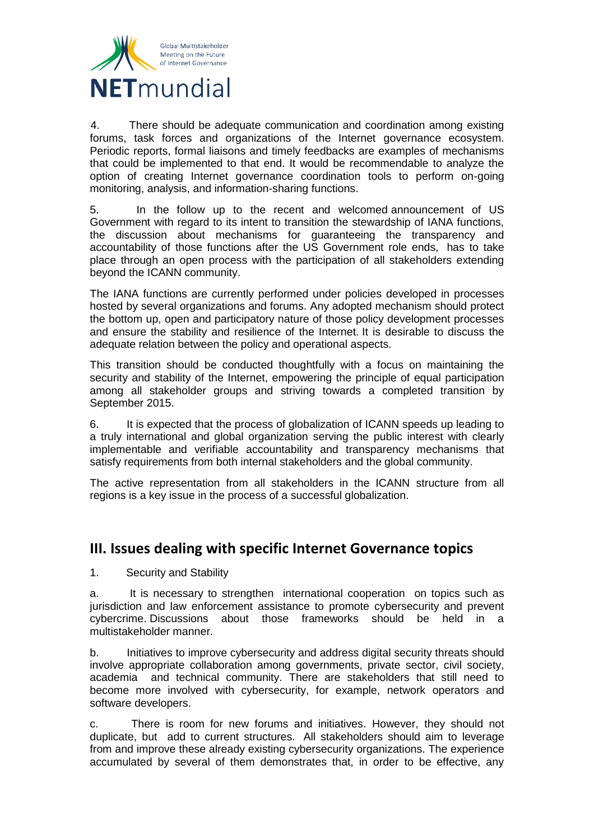

4. There should be adequate communication and coordination among existing forums, task forces and organizations of the Internet governance ecosystem. Periodic reports, formal liaisons and timely feedbacks are examples of mechanisms that could be implemented to that end. It would be recommendable to analyze the option of creating Internet governance coordination tools to perform on-going monitoring, analysis, and information-sharing functions.

5. In the follow up to the recent and welcomed announcement of US Government with regard to its intent to transition the stewardship of IANA functions, the discussion about mechanisms for guaranteeing the transparency and accountability of those functions after the US Government role ends, has to take place through an open process with the participation of all stakeholders extending beyond the ICANN community.

The IANA functions are currently performed under policies developed in processes hosted by several organizations and forums. Any adopted mechanism should protect the bottom up, open and participatory nature of those policy development processes and ensure the stability and resilience of the Internet. It is desirable to discuss the adequate relation between the policy and operational aspects.

This transition should be conducted thoughtfully with a focus on maintaining the security and stability of the Internet, empowering the principle of equal participation among all stakeholder groups and striving towards a completed transition by September 2015.

6. It is expected that the process of globalization of ICANN speeds up leading to a truly international and global organization serving the public interest with clearly implementable and verifiable accountability and transparency mechanisms that satisfy requirements from both internal stakeholders and the global community.

The active representation from all stakeholders in the ICANN structure from all regions is a key issue in the process of a successful globalization.

### **III. Issues dealing with specific Internet Governance topics**

1. Security and Stability

a. It is necessary to strengthen international cooperation on topics such as jurisdiction and law enforcement assistance to promote cybersecurity and prevent cybercrime. Discussions about those frameworks should be held in a multistakeholder manner.

b. Initiatives to improve cybersecurity and address digital security threats should involve appropriate collaboration among governments, private sector, civil society, academia and technical community. There are stakeholders that still need to become more involved with cybersecurity, for example, network operators and software developers.

c. There is room for new forums and initiatives. However, they should not duplicate, but add to current structures. All stakeholders should aim to leverage from and improve these already existing cybersecurity organizations. The experience accumulated by several of them demonstrates that, in order to be effective, any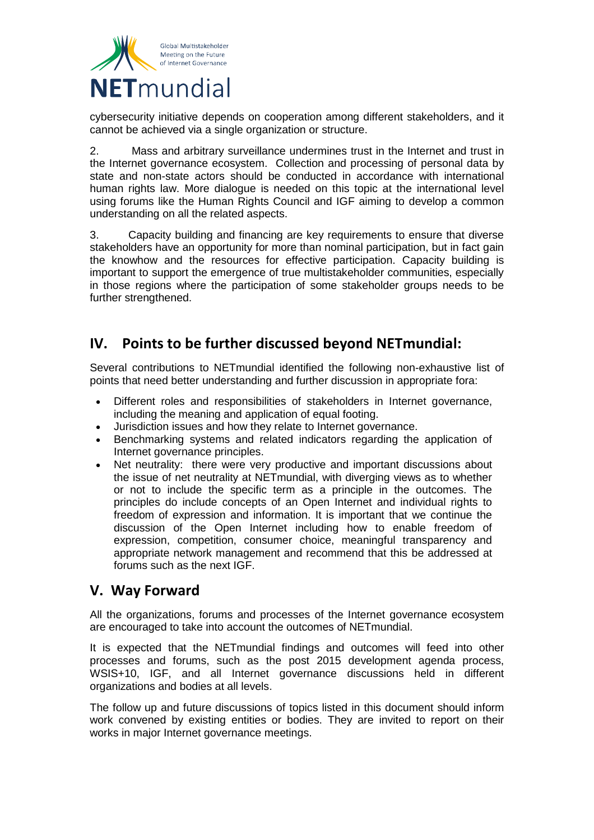

cybersecurity initiative depends on cooperation among different stakeholders, and it cannot be achieved via a single organization or structure.

2. Mass and arbitrary surveillance undermines trust in the Internet and trust in the Internet governance ecosystem. Collection and processing of personal data by state and non-state actors should be conducted in accordance with international human rights law. More dialogue is needed on this topic at the international level using forums like the Human Rights Council and IGF aiming to develop a common understanding on all the related aspects.

3. Capacity building and financing are key requirements to ensure that diverse stakeholders have an opportunity for more than nominal participation, but in fact gain the knowhow and the resources for effective participation. Capacity building is important to support the emergence of true multistakeholder communities, especially in those regions where the participation of some stakeholder groups needs to be further strengthened.

## **IV. Points to be further discussed beyond NETmundial:**

Several contributions to NETmundial identified the following non-exhaustive list of points that need better understanding and further discussion in appropriate fora:

- Different roles and responsibilities of stakeholders in Internet governance, including the meaning and application of equal footing.
- Jurisdiction issues and how they relate to Internet governance.
- Benchmarking systems and related indicators regarding the application of Internet governance principles.
- Net neutrality: there were very productive and important discussions about the issue of net neutrality at NETmundial, with diverging views as to whether or not to include the specific term as a principle in the outcomes. The principles do include concepts of an Open Internet and individual rights to freedom of expression and information. It is important that we continue the discussion of the Open Internet including how to enable freedom of expression, competition, consumer choice, meaningful transparency and appropriate network management and recommend that this be addressed at forums such as the next IGF.

### **V. Way Forward**

All the organizations, forums and processes of the Internet governance ecosystem are encouraged to take into account the outcomes of NETmundial.

It is expected that the NETmundial findings and outcomes will feed into other processes and forums, such as the post 2015 development agenda process, WSIS+10, IGF, and all Internet governance discussions held in different organizations and bodies at all levels.

The follow up and future discussions of topics listed in this document should inform work convened by existing entities or bodies. They are invited to report on their works in major Internet governance meetings.